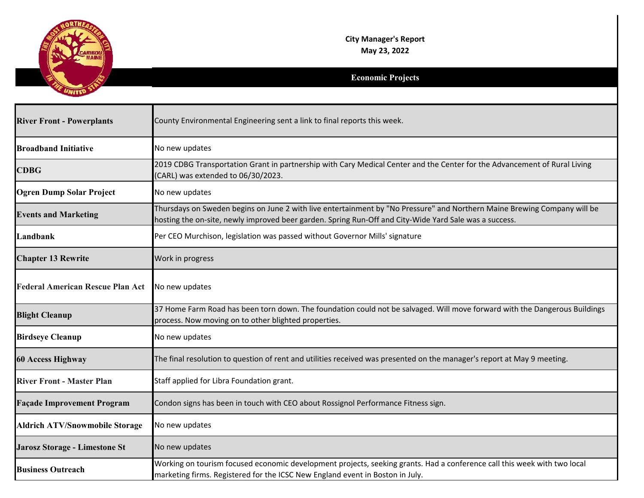

| <b>River Front - Powerplants</b>        | County Environmental Engineering sent a link to final reports this week.                                                                                                                                                           |
|-----------------------------------------|------------------------------------------------------------------------------------------------------------------------------------------------------------------------------------------------------------------------------------|
| <b>Broadband Initiative</b>             | No new updates                                                                                                                                                                                                                     |
| <b>CDBG</b>                             | 2019 CDBG Transportation Grant in partnership with Cary Medical Center and the Center for the Advancement of Rural Living<br>(CARL) was extended to 06/30/2023.                                                                    |
| <b>Ogren Dump Solar Project</b>         | No new updates                                                                                                                                                                                                                     |
| <b>Events and Marketing</b>             | Thursdays on Sweden begins on June 2 with live entertainment by "No Pressure" and Northern Maine Brewing Company will be<br>hosting the on-site, newly improved beer garden. Spring Run-Off and City-Wide Yard Sale was a success. |
| Landbank                                | Per CEO Murchison, legislation was passed without Governor Mills' signature                                                                                                                                                        |
| <b>Chapter 13 Rewrite</b>               | Work in progress                                                                                                                                                                                                                   |
| <b>Federal American Rescue Plan Act</b> | No new updates                                                                                                                                                                                                                     |
| <b>Blight Cleanup</b>                   | 37 Home Farm Road has been torn down. The foundation could not be salvaged. Will move forward with the Dangerous Buildings<br>process. Now moving on to other blighted properties.                                                 |
| <b>Birdseye Cleanup</b>                 | No new updates                                                                                                                                                                                                                     |
| <b>60 Access Highway</b>                | The final resolution to question of rent and utilities received was presented on the manager's report at May 9 meeting.                                                                                                            |
| <b>River Front - Master Plan</b>        | Staff applied for Libra Foundation grant.                                                                                                                                                                                          |
| <b>Façade Improvement Program</b>       | Condon signs has been in touch with CEO about Rossignol Performance Fitness sign.                                                                                                                                                  |
| <b>Aldrich ATV/Snowmobile Storage</b>   | No new updates                                                                                                                                                                                                                     |
| Jarosz Storage - Limestone St           | No new updates                                                                                                                                                                                                                     |
| <b>Business Outreach</b>                | Working on tourism focused economic development projects, seeking grants. Had a conference call this week with two local<br>marketing firms. Registered for the ICSC New England event in Boston in July.                          |